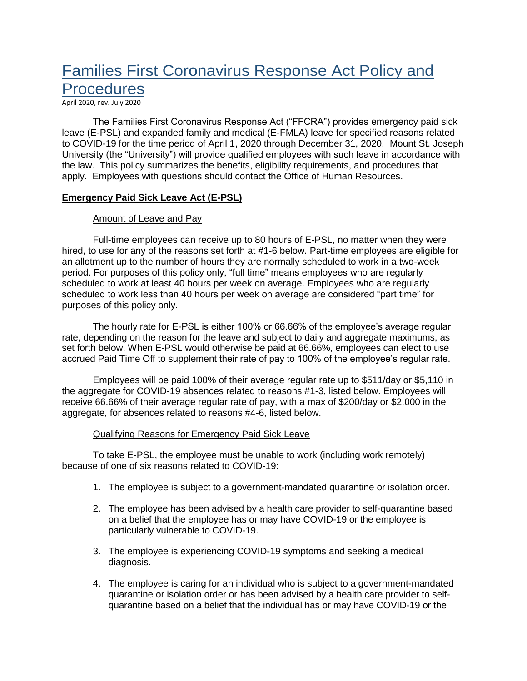# Families First Coronavirus Response Act Policy and **Procedures**

April 2020, rev. July 2020

The Families First Coronavirus Response Act ("FFCRA") provides emergency paid sick leave (E-PSL) and expanded family and medical (E-FMLA) leave for specified reasons related to COVID-19 for the time period of April 1, 2020 through December 31, 2020. Mount St. Joseph University (the "University") will provide qualified employees with such leave in accordance with the law. This policy summarizes the benefits, eligibility requirements, and procedures that apply. Employees with questions should contact the Office of Human Resources.

## **Emergency Paid Sick Leave Act (E-PSL)**

## Amount of Leave and Pay

Full-time employees can receive up to 80 hours of E-PSL, no matter when they were hired, to use for any of the reasons set forth at #1-6 below. Part-time employees are eligible for an allotment up to the number of hours they are normally scheduled to work in a two-week period. For purposes of this policy only, "full time" means employees who are regularly scheduled to work at least 40 hours per week on average. Employees who are regularly scheduled to work less than 40 hours per week on average are considered "part time" for purposes of this policy only.

The hourly rate for E-PSL is either 100% or 66.66% of the employee's average regular rate, depending on the reason for the leave and subject to daily and aggregate maximums, as set forth below. When E-PSL would otherwise be paid at 66.66%, employees can elect to use accrued Paid Time Off to supplement their rate of pay to 100% of the employee's regular rate.

Employees will be paid 100% of their average regular rate up to \$511/day or \$5,110 in the aggregate for COVID-19 absences related to reasons #1-3, listed below. Employees will receive 66.66% of their average regular rate of pay, with a max of \$200/day or \$2,000 in the aggregate, for absences related to reasons #4-6, listed below.

## Qualifying Reasons for Emergency Paid Sick Leave

To take E-PSL, the employee must be unable to work (including work remotely) because of one of six reasons related to COVID-19:

- 1. The employee is subject to a government-mandated quarantine or isolation order.
- 2. The employee has been advised by a health care provider to self-quarantine based on a belief that the employee has or may have COVID-19 or the employee is particularly vulnerable to COVID-19.
- 3. The employee is experiencing COVID-19 symptoms and seeking a medical diagnosis.
- 4. The employee is caring for an individual who is subject to a government-mandated quarantine or isolation order or has been advised by a health care provider to selfquarantine based on a belief that the individual has or may have COVID-19 or the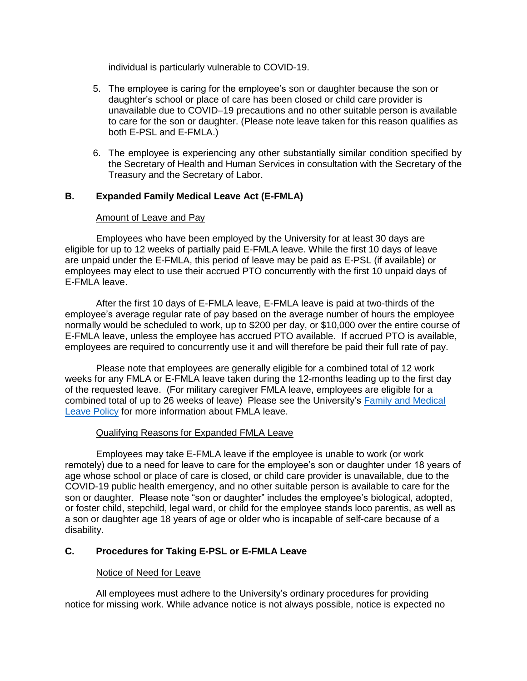individual is particularly vulnerable to COVID-19.

- 5. The employee is caring for the employee's son or daughter because the son or daughter's school or place of care has been closed or child care provider is unavailable due to COVID–19 precautions and no other suitable person is available to care for the son or daughter. (Please note leave taken for this reason qualifies as both E-PSL and E-FMLA.)
- 6. The employee is experiencing any other substantially similar condition specified by the Secretary of Health and Human Services in consultation with the Secretary of the Treasury and the Secretary of Labor.

# **B. Expanded Family Medical Leave Act (E-FMLA)**

# Amount of Leave and Pay

Employees who have been employed by the University for at least 30 days are eligible for up to 12 weeks of partially paid E-FMLA leave. While the first 10 days of leave are unpaid under the E-FMLA, this period of leave may be paid as E-PSL (if available) or employees may elect to use their accrued PTO concurrently with the first 10 unpaid days of E-FMLA leave.

After the first 10 days of E-FMLA leave, E-FMLA leave is paid at two-thirds of the employee's average regular rate of pay based on the average number of hours the employee normally would be scheduled to work, up to \$200 per day, or \$10,000 over the entire course of E-FMLA leave, unless the employee has accrued PTO available. If accrued PTO is available, employees are required to concurrently use it and will therefore be paid their full rate of pay.

Please note that employees are generally eligible for a combined total of 12 work weeks for any FMLA or E-FMLA leave taken during the 12-months leading up to the first day of the requested leave. (For military caregiver FMLA leave, employees are eligible for a combined total of up to 26 weeks of leave) Please see the University's [Family and Medical](https://mymount.msj.edu/ICS/icsfs/Family_and_Medical_Leave_Policy.pdf?target=91a0a3fd-6f0a-4aec-9348-cbe101e442a6)  [Leave Policy](https://mymount.msj.edu/ICS/icsfs/Family_and_Medical_Leave_Policy.pdf?target=91a0a3fd-6f0a-4aec-9348-cbe101e442a6) for more information about FMLA leave.

# Qualifying Reasons for Expanded FMLA Leave

Employees may take E-FMLA leave if the employee is unable to work (or work remotely) due to a need for leave to care for the employee's son or daughter under 18 years of age whose school or place of care is closed, or child care provider is unavailable, due to the COVID-19 public health emergency, and no other suitable person is available to care for the son or daughter. Please note "son or daughter" includes the employee's biological, adopted, or foster child, stepchild, legal ward, or child for the employee stands loco parentis, as well as a son or daughter age 18 years of age or older who is incapable of self-care because of a disability.

# **C. Procedures for Taking E-PSL or E-FMLA Leave**

# Notice of Need for Leave

All employees must adhere to the University's ordinary procedures for providing notice for missing work. While advance notice is not always possible, notice is expected no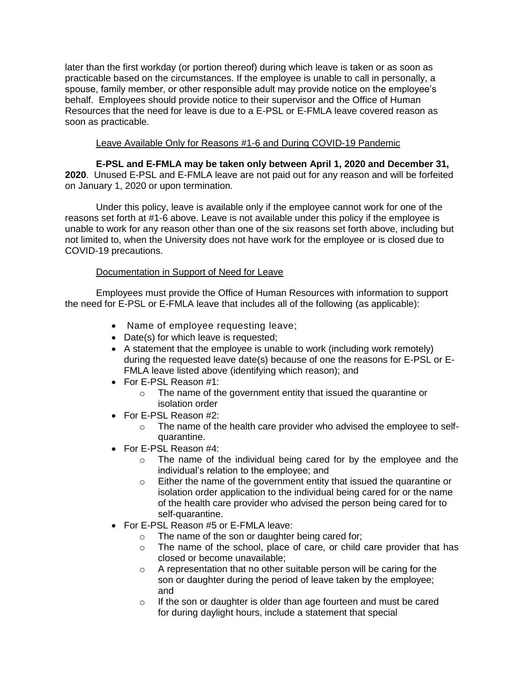later than the first workday (or portion thereof) during which leave is taken or as soon as practicable based on the circumstances. If the employee is unable to call in personally, a spouse, family member, or other responsible adult may provide notice on the employee's behalf. Employees should provide notice to their supervisor and the Office of Human Resources that the need for leave is due to a E-PSL or E-FMLA leave covered reason as soon as practicable.

# Leave Available Only for Reasons #1-6 and During COVID-19 Pandemic

**E-PSL and E-FMLA may be taken only between April 1, 2020 and December 31, 2020**. Unused E-PSL and E-FMLA leave are not paid out for any reason and will be forfeited on January 1, 2020 or upon termination.

Under this policy, leave is available only if the employee cannot work for one of the reasons set forth at #1-6 above. Leave is not available under this policy if the employee is unable to work for any reason other than one of the six reasons set forth above, including but not limited to, when the University does not have work for the employee or is closed due to COVID-19 precautions.

# Documentation in Support of Need for Leave

Employees must provide the Office of Human Resources with information to support the need for E-PSL or E-FMLA leave that includes all of the following (as applicable):

- Name of employee requesting leave;
- Date(s) for which leave is requested;
- A statement that the employee is unable to work (including work remotely) during the requested leave date(s) because of one the reasons for E-PSL or E-FMLA leave listed above (identifying which reason); and
- For E-PSL Reason #1:
	- o The name of the government entity that issued the quarantine or isolation order
- For E-PSL Reason #2:
	- o The name of the health care provider who advised the employee to selfquarantine.
- For E-PSL Reason #4:
	- o The name of the individual being cared for by the employee and the individual's relation to the employee; and
	- o Either the name of the government entity that issued the quarantine or isolation order application to the individual being cared for or the name of the health care provider who advised the person being cared for to self-quarantine.
- For E-PSL Reason #5 or E-FMLA leave:
	- o The name of the son or daughter being cared for;
	- o The name of the school, place of care, or child care provider that has closed or become unavailable;
	- o A representation that no other suitable person will be caring for the son or daughter during the period of leave taken by the employee; and
	- o If the son or daughter is older than age fourteen and must be cared for during daylight hours, include a statement that special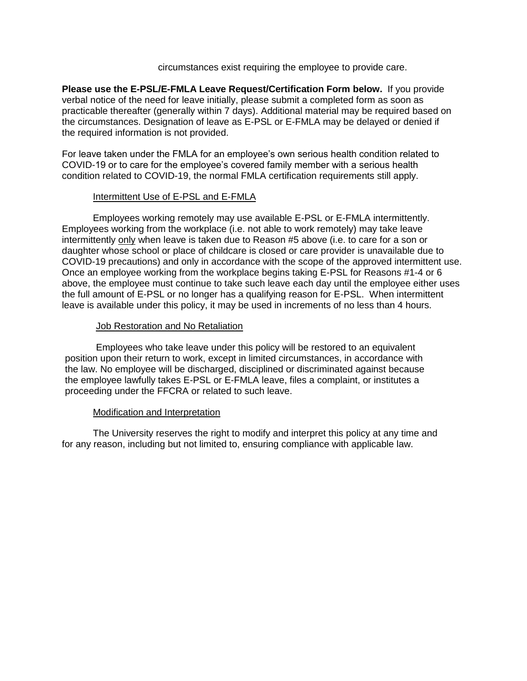circumstances exist requiring the employee to provide care.

**Please use the E-PSL/E-FMLA Leave Request/Certification Form below.** If you provide verbal notice of the need for leave initially, please submit a completed form as soon as practicable thereafter (generally within 7 days). Additional material may be required based on the circumstances. Designation of leave as E-PSL or E-FMLA may be delayed or denied if the required information is not provided.

For leave taken under the FMLA for an employee's own serious health condition related to COVID-19 or to care for the employee's covered family member with a serious health condition related to COVID-19, the normal FMLA certification requirements still apply.

## Intermittent Use of E-PSL and E-FMLA

Employees working remotely may use available E-PSL or E-FMLA intermittently. Employees working from the workplace (i.e. not able to work remotely) may take leave intermittently only when leave is taken due to Reason #5 above (i.e. to care for a son or daughter whose school or place of childcare is closed or care provider is unavailable due to COVID-19 precautions) and only in accordance with the scope of the approved intermittent use. Once an employee working from the workplace begins taking E-PSL for Reasons #1-4 or 6 above, the employee must continue to take such leave each day until the employee either uses the full amount of E-PSL or no longer has a qualifying reason for E-PSL. When intermittent leave is available under this policy, it may be used in increments of no less than 4 hours.

## Job Restoration and No Retaliation

Employees who take leave under this policy will be restored to an equivalent position upon their return to work, except in limited circumstances, in accordance with the law. No employee will be discharged, disciplined or discriminated against because the employee lawfully takes E-PSL or E-FMLA leave, files a complaint, or institutes a proceeding under the FFCRA or related to such leave.

## Modification and Interpretation

The University reserves the right to modify and interpret this policy at any time and for any reason, including but not limited to, ensuring compliance with applicable law.